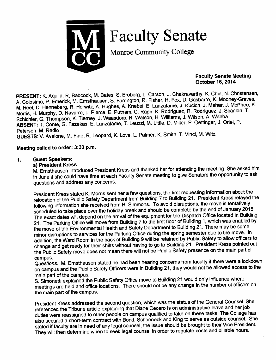

Faculty Senate

Monroe Community College

*Faculty Senate Meeting October 16, 2014*

PRESENT: K. Aquila, R, Babcock, M. Bates, S. Broberg, L. Carson, J. Chakravarthy, K. Chin, N. Christensen, A. Colosimo, P. Emerick, M. Ernsthausen, S. Farrington, R. Fisher, H. Fox, D. Gasbarre, K. Mooney-Graves, M. Heel, D. Henneberg, R. Horwitz, A. Hughes, A. Knebel, E. Lanzafame, J. Kucich, J. Mahar, J. McPhee, K. Morris, H. Murphy, D. Navarro, L. Pierce, E. Putnam, C. Rapp, K. Rodriguez, R. Rodriguez, J. Scanlon, T. Schichler, G. Thompson, K. Tiemey, J. Waasdorp, R. Watson, H. Williams, J. Wilson, A. Wahba *ABSENT:* T. Conte, G. Fazekas, E. Lanzafame, T. Leuzzi, M. Little, D. Miller, P. Oettmger, J. Onel, P. Peterson, M. Redlo<br>GUESTS: V. Avalone, M. Fine, R. Leopard, K. Love, L. Palmer, K. Smith, T. Vinci, M. Witz

#### *Meeting called to order: 3:30 p.m.*

### *1. Guest Speakers:*

#### *a) President Kress*

M. Ernsthausen introduced President Kress and thanked her for attending the meeting. She asked him in June if she could have time at each Faculty Senate meeting to give Senators the opportunity to ask questions and address any concerns.

President Kress stated K. Morris sent her a few questions, the first requesting information about the relocation of the Public Safety Department from Building 7 to Building 21. President Kress relayed the following information she received from H. Simmons. To avoid disruptions, the move is tentatively scheduled to take place over the holiday break and should be complete by the end of January 2015. The exact dates will depend on the arrival of the equipment for the Dispatch Office located in Building 21. The Parking Office will move from Building 7 to the first floor of Building 1, which was enabled by the move of the Environmental Health and Safety Department to Building 21. There may be some minor disruptions to services for the Parking Office during the spring semester due to the move. In addition, the Ward Room in the back of Building 9 will be retained by Public Safety to allow officers to change and get ready for their shifts without having to go to Building 21. President Kress pointed out the Public Safety move does not mean there will not be Public Safety presence on the main part of

campus.<br>Questions: M. Emsthausen stated he had been hearing concerns from faculty if there were a lockdown on campus and the Public Safety Officers were in Building 21, they would not be allowed access to the main part of the campus.

S. Simonetti explained the Public Safety Office move to Building 21 would only influence where meetings are held and office locations. There should not be any change in the number of officers on the main part of the campus.

President Kress addressed the second question, which was the status of the General Counsel. She<br>referenced the Tribune article explaining that Diane Cecero is on administrative leave and her job duties were reassigned to other people on campus qualified to take on these tasks. The College has also secured a short-term contract with Bond, Schoeneck and King to serve as outside counsel. She stated if faculty are in need of any legal counsel, the issue should be brought to their Vice President. They will then determine when to seek legal counsel in order to regulate costs and billable hours.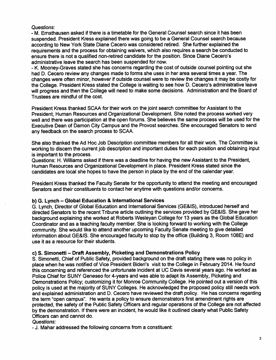### **Questions:**

- M. Emsthausen asked if there is a timetable for the General Counsel search since it has been suspended. President Kress explained there was going to be a General Counsel search because according to New York State Diane Cecero was considered retired. She further explained the requirements and the process for obtaining waivers, which also requires a search be conducted to ensure there is not a qualified non-retired candidate for the position. Since Diane Cecero's administrative leave the search has been suspended for now.

- K. Mooney-Graves stated she has concerns regarding the cost of outside counsel pointing out she had D. Cecero review any changes made to forms she uses in her area several times a year. The changes were often minor, however if outside counsel were to review the changes it may be costly for the College. President Kress stated the College is waiting to see how D. Cecero's administrative leave will progress and then the College will need to make some decisions. Administration and the Board of Trustees are mindful of the cost.

President Kress thanked SCAA for their work on the joint search committee for Assistant to the President, Human Resources and Organizational Development. She noted the process worked very well and there was participation at the open forums. She believes the same process will be used for the Executive Dean of Damon City Campus and the Provost searches. She encouraged Senators to send any feedback on the search process to SCAA.

She also thanked the Ad Hoc Job Description committee members for all their work. The Committee is working to discern the current job description and important duties for each position and obtaining input is important to the process.

Questions: H. Williams asked ifthere was a deadline for having the new Assistant to the President, Human Resources and Organizational Development in place. President Kress stated since the candidates are local she hopes to have the person in place by the end of the calendar year.

President Kress thanked the Faculty Senate for the opportunity to attend the meeting and encouraged Senators and their constituents to contact her anytime with questions and/or concems.

#### *b) G. Lynch* - *Global Education & International Services*

G. Lynch, Director of Global Education and International Services (GE&IS), introduced herself and directed Senators to the recent Tribune article outlining the services provided by GE&IS. She gave her background explaining she worked at Roberts Wesleyan College for 13 years as the Global Education Coordinator and as a teaching faculty member. She is looking forward to working with the College community. She would like to attend another upcoming Faculty Senate meeting to give detailed information about GE&IS. She encouraged faculty to stop by the office (Building 3, Room 108E) and use it as a resource for their students.

## *c) S. Simonetti* - *Draft Assembly, Picketing and Demonstrations Policy*

S. Simonetti, Chief of Public Safety, provided background on the draft stating there was no policy in place when he was notified of Vice President Biden's visit to the College in February 2014. He found this concerning and referenced the unfortunate incident at UC Davis several years ago. He worked as Police Chief for SUNY Geneseo for 4-years and was able to adapt its Assembly, Picketing and Demonstrations Policy; customizing it for Monroe Community College. He pointed out a version of this policy is used at the majority of SUNY Colleges. He acknowledged the proposed policy still needs work and explained administration and D. Cecero have reviewed the draft policy. He has concems regarding the term "open campus". He wants a policy to ensure demonstrators first amendment rights are protected, the safety of the Public Safety Officers and regular operations of the College are not affected by the demonstration. If there were an incident, he would like it outlined clearly what Public Safety Officers can and cannot do.

## **Questions:**

- J. Mahar addressed the following concerns from a constituent: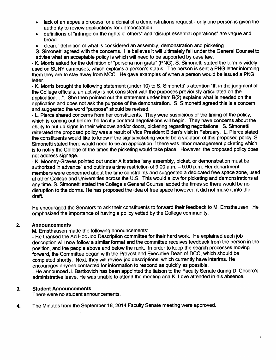- lack of an appeals process for a denial of a demonstrations request only one person is given the authority to review applications for demonstration
- definitions of "infringe on the rights of others" and "disrupt essential operations" are vague and broad
- clearer definition of what is considered an assembly, demonstration and picketing

S. Simonetti agreed with the concerns. He believes it will ultimately fall under the General Counsel to advise what an acceptable policy is which will need to be supported by case law.

- K. Morris asked for the definition of "persona non grata" (PNG). S. Simonetti stated the term is widely used on SUNY campuses, which explains a person's status. The person is sent a PNG letter informing them they are to stay away from MCC. He gave examples of when a person would be issued a PNG letter.

- K. Morris brought the following statement (under 10) to S. Simonetti' s attention "If, in the judgment of the College officials, an activity is not consistent with the purposes previously articulated on the application....". She then pointed out the statement under item B(2) explains what is needed on the application and does not ask the purpose of the demonstration. S. Simonetti agreed this is a concern and suggested the word "purpose" should be revised.

- L. Pierce shared concems from her constituents. They were suspicious of the timing of the policy, which is coming out before the faculty contract negotiations will begin. They have concems about the ability to put up signs in their windows and/or doors, picketing regarding negotiations. S. Simonetti reiterated the proposed policy was a result of Vice President Biden's visit in February. L. Pierce stated the constituents would like to know if the signs/picketing would be a violation of this proposed policy. S. Simonetti stated there would need to be an application if there was labor management picketing which is to notify the College of the times the picketing would take place. However, the proposed policy does not address signage.

- K. Mooney-Graves pointed out under A it states "any assembly, picket, or demonstration must be authorized in advance" and outlines a time restriction of 9:00 a.m. - 9:00 p.m. Her department members were concerned about the time constraints and suggested a dedicated free space zone, used at other College and Universities across the U.S. This would allow for picketing and demonstrations at any time. S. Simonetti stated the College's General Counsel added the times so there would be no disruption to the dorms. He has proposed the idea of free space however, it did not make it into the draft.

He encouraged the Senators to ask their constituents to forward their feedback to M. Emsthausen. He emphasized the importance of having a policy vetted by the College community.

#### *2. Announcements*

M. Emsthausen made the following announcements:

- He thanked the Ad Hoc Job Description committee for their hard work. He explained each job description will now follow a similar format and the committee receives feedback from the person in the position, and the people above and below the rank. In order to keep the search processes moving forward, the Committee began with the Provost and Executive Dean of DCC, which should be completed shortly. Next, they will review job descriptions, which currently have interims. He encourages anyone contacted for information to respond as quickly as possible.

- He announced J. Bartkovich has been appointed the liaison to the Faculty Senate during D. Cecero's administrative leave. He was unable to attend the meeting and K. Love attended in his absence.

#### 3. *Student Announcements*

There were no student announcements.

4. The Minutes from the September 18, 2014 Faculty Senate meeting were approved.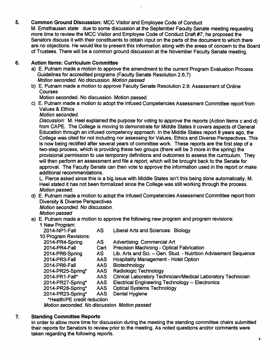## *5. Common Ground Discussion:* MCC Visitor and Employee Code of Conduct

M. Ernsthausen state due to some discussion at the September Faculty Senate meeting requesting more time to review the MCC Visitor and Employee Code of Conduct Draft #7, he proposed the Senators discuss it with their constituents to obtain input on the parts of the document to which there are no objections. He would like to present this information along with the areas of concern to the Board of Trustees. There will be a common ground discussion at the November Faculty Senate meeting.

### *6. Action Items: Curriculum Committee*

- a) E. Putnam made a motion to approve the amendment to the current Program Evaluation Process Guidelines for accredited programs (Faculty Senate Resolution 2.6.7) **Motion seconded. No discussion. Motion passed**
- b) E. Putnam made a motion to approve Faculty Senate Resolution 2.9: Assessment of Online **Courses**

Motion seconded. No discussion. Motion passed

c) E. Putnam made a motion to adopt the Infused Competencies Assessment Committee report from Values & Ethics

**Motion seconded.**

**Discussion:** M. Heel explained the purpose for voting to approve the reports (Action Items c and d) from CAPE. The College is moving to demonstrate for Middle States it covers aspects of General Education through an infused competency approach. In the Middle States report 8 years ago, the College was cited for not including nor assessing for Values, Ethics and Diverse Perspectives. This is now being rectified after several years of committee work. These reports are the first step of a two-step process, which is providing these two groups (there will be 3 more in the spring) the provisional permission to use temporary definitions and outcomes to assess the curriculum. They will then perform an assessment and file a report, which will be brought back to the Senate for approval. The Faculty Senate can then vote to approve the information used in the report or make additional recommendations.

L. Pierce asked since this is a big issue with Middle States isn't this being done automatically. M. Heel stated it has not been formalized since the College was still working through the process. **Motion passed.**

d) E. Putnam made a motion to adopt the Infused Competencies Assessment Committee report from Diversity & Diverse Perspectives

**Motion seconded. No discussion.**

## **Motion passed**

e) E. Putnam made a motion to approve the following new program and program revisions: 1 New Program: 2014-NP1-Fall AS Liberal Arts and Sciences: Biology

| 2014-NP1-Fall               | AS.        | Liberal Arts and Sciences: Biology                                  |
|-----------------------------|------------|---------------------------------------------------------------------|
| 10 Program Revisions:       |            |                                                                     |
| 2014-PR4-Spring             | <b>AS</b>  | <b>Advertising: Commercial Art</b>                                  |
| 2014-PR4-Fall               | Cert       | <b>Precision Machining - Optical Fabrication</b>                    |
| 2014-PR6-Spring             | AS.        | Lib. Arts and Sci. - Gen. Stud. - Nutrition Advisement Sequence     |
| 2014-PR3-Fall               | AAS.       | <b>Hospitality Management - Hotel Option</b>                        |
| 2014-PR6-Fall               | AAS        | Biotechnology                                                       |
| 2014-PR25-Spring*           | <b>AAS</b> | <b>Radiologic Technology</b>                                        |
| 2014-PR1-Fall*              | AAS.       | <b>Clinical Laboratory Technician/Medical Laboratory Technician</b> |
| 2014-PR27-Spring*           | <b>AAS</b> | <b>Electrical Engineering Technology -- Electronics</b>             |
| 2014-PR28-Spring*           | <b>AAS</b> | <b>Optical Systems Technology</b>                                   |
| 2014-PR23-Spring*           | <b>AAS</b> | <b>Dental Hygiene</b>                                               |
| *Health/PE credit reduction |            |                                                                     |
|                             |            |                                                                     |

**Motion seconded. No discussion. Motion passed**

#### *7. Standing Committee Reports*

In order to allow more time for discussion during the meeting the standing committee chairs submitted their reports for Senators to review prior to the meeting. As noted questions and/or comments were taken regarding the following reports.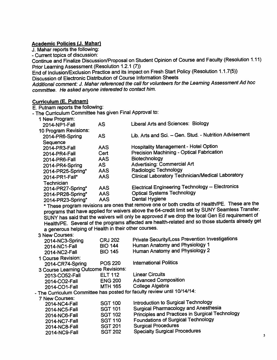### *Academic Policies (J. Mahar)*

J. Mahar reports the following:

- Current topics of discussion:

Continue and Finalize Discussion/Proposal on Student Opinion of Course and Faculty (Resolution 1.11) Prior Learning Assessment (Resolution 1.2.1 (7))

End of Inclusion/Exclusion Practice and its impacton Fresh Start Policy (Resolution 1.1.7(5)) Discussion of Electronic Distribution of Course Information Sheets

**Additional comment: J. Mahar referenced the call for volunteers for the Learning Assessment Ad hoc committee. He asked anyone interested to contact him.**

#### *Curriculum (E. Putnam)*

E. Putnam reports the following:

- The Curriculum Committee has given Final Approval to:

| 1 New Program:        |            |                                                         |
|-----------------------|------------|---------------------------------------------------------|
| 2014-NP1-Fall         | <b>AS</b>  | <b>Liberal Arts and Sciences: Biology</b>               |
| 10 Program Revisions: |            |                                                         |
| 2014-PR6-Spring       | <b>AS</b>  | Lib. Arts and Sci. - Gen. Stud. - Nutrition Advisement  |
| Sequence              |            |                                                         |
| 2014-PR3-Fall         | <b>AAS</b> | <b>Hospitality Management - Hotel Option</b>            |
| 2014-PR4-Fall         | Cert       | Precision Machining - Optical Fabrication               |
| 2014-PR6-Fall         | <b>AAS</b> | Biotechnology                                           |
| 2014-PR4-Spring       | <b>AS</b>  | <b>Advertising: Commercial Art</b>                      |
| 2014-PR25-Spring*     | <b>AAS</b> | Radiologic Technology                                   |
| 2014-PR1-Fall*        | AAS        | Clinical Laboratory Technician/Medical Laboratory       |
| <b>Technician</b>     |            |                                                         |
| 2014-PR27-Spring*     | <b>AAS</b> | <b>Electrical Engineering Technology -- Electronics</b> |
| 2014-PR28-Spring*     | <b>AAS</b> | <b>Optical Systems Technology</b>                       |
| 2014-PR23-Spring*     | <b>AAS</b> | Dental Hygiene                                          |
|                       |            |                                                         |

2014-PR23-Spring\* AAS Dental Hygiene<br>\* These program revisions are ones that remove one or both credits of Health/PE. These are the programs that have applied for waivers above the 64-credit limit set by SUNY Seamless Transfer. SUNY has said that the waivers will only be approved if we drop the local Gen Ed requirement of Health/PE. Several of the programs affected are health-related and sothose students already get

| a generous helping of Health in their other courses. |                |                                                                          |
|------------------------------------------------------|----------------|--------------------------------------------------------------------------|
| 3 New Courses:                                       |                |                                                                          |
| 2014-NC3-Spring                                      | <b>CRJ 202</b> | <b>Private Security/Loss Prevention Investigations</b>                   |
| 2014-NC1-Fall                                        | <b>BIO 144</b> | Human Anatomy and Physiology 1                                           |
| 2014-NC2-Fall                                        | <b>BIO 145</b> | Human Anatomy and Physiology 2                                           |
| 1 Course Revision:                                   |                |                                                                          |
| 2014-CR74-Spring                                     | <b>POS 220</b> | <b>International Politics</b>                                            |
| 3 Course Learning Outcome Revisions:                 |                |                                                                          |
| 2013-CO52-Fall                                       | <b>ELT 112</b> | <b>Linear Circuits</b>                                                   |
| 2014-CO2-Fall                                        | <b>ENG 200</b> | <b>Advanced Composition</b>                                              |
| 2014-CO1-Fall                                        | <b>MTH 165</b> | College Algebra                                                          |
|                                                      |                | - The Curriculum Committee has posted for faculty review until 10/14/14: |
| 7 New Courses:                                       |                |                                                                          |
| 2014-NC4-Fall                                        | <b>SGT 100</b> | Introduction to Surgical Technology                                      |
| 2014-NC5-Fall                                        | <b>SGT 101</b> | <b>Surgical Pharmacology and Anesthesia</b>                              |
| 2014-NC6-Fall                                        | <b>SGT 102</b> | Principles and Practices in Surgical Technology                          |
| 2014-NC7-Fall                                        | <b>SGT 110</b> | <b>Foundations of Surgical Technology</b>                                |
| 2014-NC8-Fall                                        | <b>SGT 201</b> | <b>Surgical Procedures</b>                                               |
|                                                      |                |                                                                          |

2014-NC9-Fall SGT 202 Specialty Surgical Procedures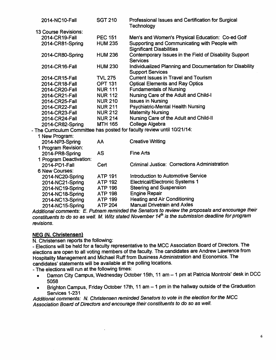| 2014-NC10-Fall              | <b>SGT 210</b> | Professional Issues and Certification for Surgical<br>Technology                           |
|-----------------------------|----------------|--------------------------------------------------------------------------------------------|
| <b>13 Course Revisions:</b> |                |                                                                                            |
| 2014-CR19-Fall              | <b>PEC 151</b> | Men's and Women's Physical Education: Co-ed Golf                                           |
| 2014-CR81-Spring            | <b>HUM 235</b> | Supporting and Communicating with People with<br><b>Significant Disabilities</b>           |
| 2014-CR80-Spring            | <b>HUM 236</b> | Contemporary Issues in the Field of Disability Support<br><b>Services</b>                  |
| 2014-CR16-Fall              | <b>HUM 230</b> | <b>Individualized Planning and Documentation for Disability</b><br><b>Support Services</b> |
| 2014-CR15-Fall              | <b>TVL 275</b> | <b>Current Issues in Travel and Tourism</b>                                                |
| 2014-CR18-Fall              | <b>OPT 131</b> | <b>Optical Elements and Ray Optics</b>                                                     |
| 2014-CR20-Fall              | <b>NUR 111</b> | <b>Fundamentals of Nursing</b>                                                             |
| 2014-CR21-Fall              | <b>NUR 112</b> | Nursing Care of the Adult and Child-I                                                      |
| 2014-CR25-Fall              | <b>NUR 210</b> | <b>Issues in Nursing</b>                                                                   |
| 2014-CR22-Fall              | <b>NUR 211</b> | <b>Psychiatric-Mental Health Nursing</b>                                                   |
| 2014-CR23-Fall              | <b>NUR 212</b> | <b>Maternity Nursing</b>                                                                   |
| 2014-CR24-Fall              | <b>NUR 214</b> | Nursing Care of the Adult and Child-II                                                     |
| 2014-CR82-Spring            | <b>MTH 165</b> | College Algebra                                                                            |
|                             |                | The Curriculum Committee has posted for faculty review until 10/21/14:                     |
| 1 New Program:              |                |                                                                                            |
| 2014-NP3-Spring             | AA             | <b>Creative Writing</b>                                                                    |
| 1 Program Revision:         |                |                                                                                            |
| 2014-PR8-Spring             | <b>AS</b>      | <b>Fine Arts</b>                                                                           |
| 1 Program Deactivation:     |                |                                                                                            |
| 2014-PD1-Fall               | Cert           | <b>Criminal Justice: Corrections Administration</b>                                        |
| <b>6 New Courses:</b>       |                |                                                                                            |
| 2014-NC20-Spring            | <b>ATP 191</b> | Introduction to Automotive Service                                                         |
| 2014-NC21-Spring            | <b>ATP 192</b> | <b>Electrical/Electronic Systems 1</b>                                                     |
| 2014-NC19-Spring            | <b>ATP 196</b> | <b>Steering and Suspension</b>                                                             |
| 2014-NC18-Spring            | <b>ATP 198</b> | <b>Engine Repair</b>                                                                       |
| 2014-NC13-Spring            | <b>ATP 199</b> | <b>Heating and Air Conditioning</b>                                                        |
| 2014-NC15-Spring            | <b>ATP 204</b> | <b>Manual Drivetrain and Axles</b>                                                         |

**Additional comments: E. Putnam reminded the Senators to review the proposals and encourage their constituents** to do so as well. M. Witz stated November 14<sup>th</sup> is the submission deadline for program **revisions.**

# *NEG (N. Christensen)*

N. Christensen reports the following:<br>- Elections will be held for a faculty representative to the MCC Association Board of Directors. The elections are open to all voting members of the faculty. The candidates are Andrew Lawrence from Hospitality Management and Michael Ruff from Business Administration and Economics. The candidates' statements will be available at the polling locations.

- The elections will run at the following times:

 $\overline{\phantom{a}}$ 

- Damon City Campus, Wednesday October 15th, 11 am 1 pm at Patricia Montrois' desk in DCC 5058
- Brighton Campus, Friday October 17th, 11 am 1 pm in the hallway outside of the Graduation Services 1-231

**Additional comments: N. Christensen reminded Senators to vote in the election forthe MCC Association Board of Directorsand encourage theirconstituents to do so as well.**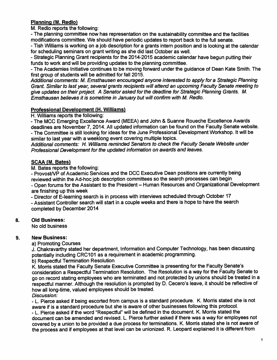# *Planning (M. Redlo)*

M. Redlo reports the following:

- The planning committee now has representation on the sustainability committee and the facilities modifications committee. We should have periodic updates to report back to the full senate.

- Tish Williams is working on a job description for a grants intern position and is looking at the calendar for scheduling seminars on grant writing as she did last October as well.

- Strategic Planning Grant recipients for the 2014-2015 academic calendar have begun putting their funds to work and will be providing updates to the planning committee.

- The Academies Initiative continues to be moving forward under the guidance of Dean Kate Smith. The first group of students will be admitted for fall 2015.

**Additional comments: M. Emsthausen encouraged anyone interested to apply for a Strategic Planning Grant. Similar to last year, several grants recipients willattend an upcoming Faculty Senate meeting to give updates on theirproject. A Senator asked forthe deadline for Strategic Planning Grants. M. Emsthausen believes it is sometime in January but willconfirm with M. Redlo.**

### *Professional Development (H. Williams)*

H. Williams reports the following:

- The MCC Emerging Excellence Award (MEEA) and John & Suanne Roueche Excellence Awards deadlines are November 7,2014. All updated information can be found on the Faculty Senate website. - The Committee is still looking for ideas for the June Professional Development Workshop. Itwill be similar to last year with a weeklong event covering multiple topics.

**Additional comments: H. Williams reminded Senators to check the Faculty Senate Website under Professional Development for the updatedinformation on awards and leaves.**

### *SCAA (M. Bates)*

M. Bates reports the following:

- Provost/VP of Academic Services and the DCC Executive Dean positions are currently being reviewed within the Ad-hoc job description committees so the search processes can begin - Open forums for the Assistant to the President - Human Resources and Organizational Development are finishing up this week

- Director of E-leaming search is in process with interviews scheduled through October 17 - Assistant Controller search will start in a couple weeks and there is hope to have the search completed by December 2014

## *8. Old Business:*

No old business

#### *9. New Business:*

a) Promoting Courses

J. Chakravarthy stated her department, Information and Computer Technology, has been discussing potentially including CRC101 as a requirement in academic programming.

b) Respectful Termination Resolution

K. Morris stated the Faculty Senate Executive Committee is presenting for the Faculty Senate's consideration a Respectful Termination Resolution. The Resolution is a way for the Faculty Senate to go on record stating employees who are terminated and not protected by unions should be treated in a respectful manner. Although the resolution is prompted by D. Cecero's leave, it should be reflective of how all long-time, valued employees should be treated. **Discussion:**

- L. Pierce asked if being escorted from campus is a standard procedure. K. Morris stated she is not aware if is a standard procedure but she is aware of other businesses following this protocol.

- L. Pierce asked if the word "Respectful" will be defined in the document. K. Morris stated the document can be amended and revised. L. Pierce further asked if there was a way for employees not covered by a union to be provided a due process forterminations. K. Morris stated she is not aware of the process and if employees at that level can be unionized. R. Leopard explained it is different from